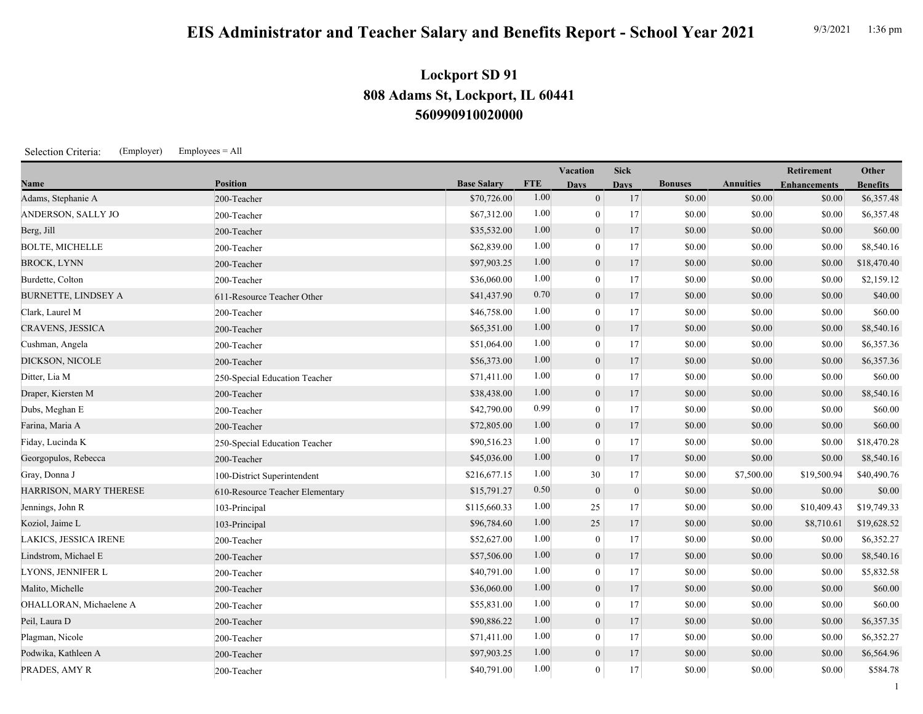## **EIS Administrator and Teacher Salary and Benefits Report - School Year 2021** 9/3/2021 1:36 pm

## **560990910020000 808 Adams St, Lockport, IL 60441 Lockport SD 91**

Selection Criteria: (Employer) Employees = All

|                            |                                 |                    |            | <b>Vacation</b>  | <b>Sick</b>      |                |                  | Retirement          | Other           |
|----------------------------|---------------------------------|--------------------|------------|------------------|------------------|----------------|------------------|---------------------|-----------------|
| <b>Name</b>                | <b>Position</b>                 | <b>Base Salary</b> | <b>FTE</b> | <b>Days</b>      | <b>Days</b>      | <b>Bonuses</b> | <b>Annuities</b> | <b>Enhancements</b> | <b>Benefits</b> |
| Adams, Stephanie A         | 200-Teacher                     | \$70,726.00        | 1.00       | $\overline{0}$   | 17               | \$0.00         | \$0.00           | \$0.00              | \$6,357.48      |
| ANDERSON, SALLY JO         | 200-Teacher                     | \$67,312.00        | 1.00       | $\mathbf{0}$     | 17               | \$0.00         | \$0.00           | \$0.00              | \$6,357.48      |
| Berg, Jill                 | 200-Teacher                     | \$35,532.00        | 1.00       | $\mathbf{0}$     | 17               | \$0.00         | \$0.00           | \$0.00              | \$60.00         |
| <b>BOLTE, MICHELLE</b>     | 200-Teacher                     | \$62,839.00        | 1.00       | $\theta$         | 17               | \$0.00         | \$0.00           | \$0.00              | \$8,540.16      |
| <b>BROCK, LYNN</b>         | 200-Teacher                     | \$97,903.25        | 1.00       | $\overline{0}$   | 17               | \$0.00         | \$0.00           | \$0.00              | \$18,470.40     |
| Burdette, Colton           | 200-Teacher                     | \$36,060.00        | 1.00       | $\boldsymbol{0}$ | 17               | \$0.00         | \$0.00           | \$0.00              | \$2,159.12      |
| <b>BURNETTE, LINDSEY A</b> | 611-Resource Teacher Other      | \$41,437.90        | 0.70       | $\overline{0}$   | 17               | \$0.00         | \$0.00           | \$0.00              | \$40.00         |
| Clark, Laurel M            | 200-Teacher                     | \$46,758.00        | 1.00       | $\overline{0}$   | 17               | \$0.00         | \$0.00           | \$0.00              | \$60.00         |
| CRAVENS, JESSICA           | 200-Teacher                     | \$65,351.00        | 1.00       | $\boldsymbol{0}$ | 17               | \$0.00         | \$0.00           | \$0.00              | \$8,540.16      |
| Cushman, Angela            | 200-Teacher                     | \$51,064.00        | 1.00       | $\mathbf{0}$     | 17               | \$0.00         | \$0.00           | \$0.00              | \$6,357.36      |
| DICKSON, NICOLE            | 200-Teacher                     | \$56,373.00        | 1.00       | $\overline{0}$   | 17               | \$0.00         | \$0.00           | \$0.00              | \$6,357.36      |
| Ditter, Lia M              | 250-Special Education Teacher   | \$71,411.00        | 1.00       | $\mathbf{0}$     | 17               | \$0.00         | \$0.00           | \$0.00              | \$60.00         |
| Draper, Kiersten M         | 200-Teacher                     | \$38,438.00        | 1.00       | $\overline{0}$   | 17               | \$0.00         | \$0.00           | \$0.00              | \$8,540.16      |
| Dubs, Meghan E             | 200-Teacher                     | \$42,790.00        | 0.99       | $\boldsymbol{0}$ | 17               | \$0.00         | \$0.00           | \$0.00              | \$60.00         |
| Farina, Maria A            | 200-Teacher                     | \$72,805.00        | 1.00       | $\boldsymbol{0}$ | 17               | \$0.00         | \$0.00           | \$0.00              | \$60.00         |
| Fiday, Lucinda K           | 250-Special Education Teacher   | \$90,516.23        | 1.00       | $\mathbf{0}$     | 17               | \$0.00         | \$0.00           | \$0.00              | \$18,470.28     |
| Georgopulos, Rebecca       | 200-Teacher                     | \$45,036.00        | 1.00       | $\overline{0}$   | 17               | \$0.00         | \$0.00           | \$0.00              | \$8,540.16      |
| Gray, Donna J              | 100-District Superintendent     | \$216,677.15       | 1.00       | 30               | 17               | \$0.00         | \$7,500.00       | \$19,500.94         | \$40,490.76     |
| HARRISON, MARY THERESE     | 610-Resource Teacher Elementary | \$15,791.27        | 0.50       | $\mathbf{0}$     | $\boldsymbol{0}$ | \$0.00         | \$0.00           | \$0.00              | \$0.00          |
| Jennings, John R           | 103-Principal                   | \$115,660.33       | 1.00       | 25               | 17               | \$0.00         | \$0.00           | \$10,409.43         | \$19,749.33     |
| Koziol, Jaime L            | 103-Principal                   | \$96,784.60        | 1.00       | 25               | 17               | \$0.00         | \$0.00           | \$8,710.61          | \$19,628.52     |
| LAKICS, JESSICA IRENE      | 200-Teacher                     | \$52,627.00        | 1.00       | $\boldsymbol{0}$ | 17               | \$0.00         | \$0.00           | \$0.00              | \$6,352.27      |
| Lindstrom, Michael E       | 200-Teacher                     | \$57,506.00        | 1.00       | $\overline{0}$   | 17               | \$0.00         | \$0.00           | \$0.00              | \$8,540.16      |
| LYONS, JENNIFER L          | 200-Teacher                     | \$40,791.00        | 1.00       | $\mathbf{0}$     | 17               | \$0.00         | \$0.00           | \$0.00              | \$5,832.58      |
| Malito, Michelle           | 200-Teacher                     | \$36,060.00        | 1.00       | $\mathbf{0}$     | 17               | \$0.00         | \$0.00           | \$0.00              | \$60.00         |
| OHALLORAN, Michaelene A    | 200-Teacher                     | \$55,831.00        | 1.00       | $\mathbf{0}$     | 17               | \$0.00         | \$0.00           | \$0.00              | \$60.00         |
| Peil, Laura D              | 200-Teacher                     | \$90,886.22        | 1.00       | $\mathbf{0}$     | 17               | \$0.00         | \$0.00           | \$0.00              | \$6,357.35      |
| Plagman, Nicole            | 200-Teacher                     | \$71,411.00        | 1.00       | $\mathbf{0}$     | 17               | \$0.00         | \$0.00           | \$0.00              | \$6,352.27      |
| Podwika, Kathleen A        | 200-Teacher                     | \$97,903.25        | 1.00       | $\mathbf{0}$     | 17               | \$0.00         | \$0.00           | \$0.00              | \$6,564.96      |
| PRADES, AMY R              | 200-Teacher                     | \$40,791.00        | 1.00       | $\overline{0}$   | 17               | \$0.00         | \$0.00           | \$0.00              | \$584.78        |